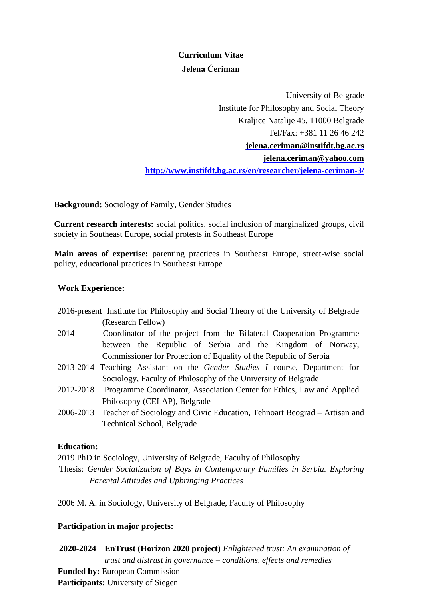# **Curriculum Vitae Jelena Ćeriman**

University of Belgrade Institute for Philosophy and Social Theory Kraljice Natalije 45, 11000 Belgrade Tel/Fax: +381 11 26 46 242 **[jelena.ceriman@instifdt.bg.ac.rs](mailto:jelena.ceriman@instifdt.bg.ac.rs) [jelena.ceriman@yahoo.com](mailto:jelena.ceriman@yahoo.com) <http://www.instifdt.bg.ac.rs/en/researcher/jelena-ceriman-3/>**

**Background:** Sociology of Family, Gender Studies

**Current research interests:** social politics, social inclusion of marginalized groups, civil society in Southeast Europe, social protests in Southeast Europe

**Main areas of expertise:** parenting practices in Southeast Europe, street-wise social policy, educational practices in Southeast Europe

#### **Work Experience:**

- 2016-present Institute for Philosophy and Social Theory of the University of Belgrade (Research Fellow)
- 2014 Coordinator of the project from the Bilateral Cooperation Programme between the Republic of Serbia and the Kingdom of Norway, Commissioner for Protection of Equality of the Republic of Serbia
- 2013-2014 Teaching Assistant on the *Gender Studies I* course, Department for Sociology, Faculty of Philosophy of the University of Belgrade
- 2012-2018 Programme Coordinator, Association Center for Ethics, Law and Applied Philosophy (CELAP), Belgrade
- 2006-2013 Teacher of Sociology and Civic Education, Tehnoart Beograd Artisan and Technical School, Belgrade

#### **Education:**

2019 PhD in Sociology, University of Belgrade, Faculty of Philosophy Thesis: *Gender Socialization of Boys in Contemporary Families in Serbia. Exploring* 

*Parental Attitudes and Upbringing Practices*

2006 M. A. in Sociology, University of Belgrade, Faculty of Philosophy

### **Participation in major projects:**

**2020-2024 EnTrust (Horizon 2020 project)** *Enlightened trust: An examination of trust and distrust in governance – conditions, effects and remedies* **Funded by:** European Commission **Participants:** University of Siegen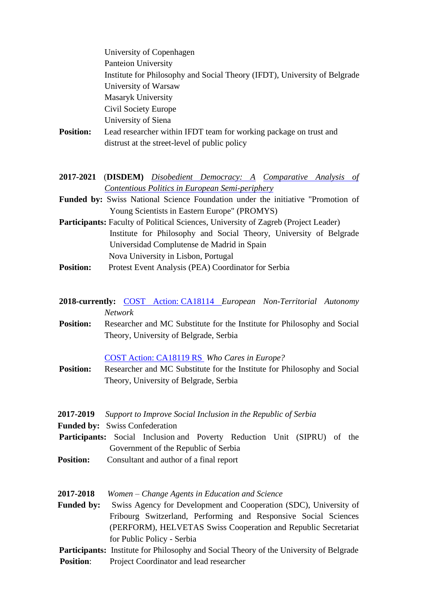| <b>Position:</b>               | University of Copenhagen<br><b>Panteion University</b><br>Institute for Philosophy and Social Theory (IFDT), University of Belgrade<br>University of Warsaw<br><b>Masaryk University</b><br>Civil Society Europe<br>University of Siena<br>Lead researcher within IFDT team for working package on trust and<br>distrust at the street-level of public policy |
|--------------------------------|---------------------------------------------------------------------------------------------------------------------------------------------------------------------------------------------------------------------------------------------------------------------------------------------------------------------------------------------------------------|
|                                | 2017-2021 (DISDEM) Disobedient Democracy: A Comparative Analysis of<br>Contentious Politics in European Semi-periphery                                                                                                                                                                                                                                        |
|                                | Funded by: Swiss National Science Foundation under the initiative "Promotion of                                                                                                                                                                                                                                                                               |
|                                | Young Scientists in Eastern Europe" (PROMYS)<br>Participants: Faculty of Political Sciences, University of Zagreb (Project Leader)<br>Institute for Philosophy and Social Theory, University of Belgrade<br>Universidad Complutense de Madrid in Spain                                                                                                        |
| <b>Position:</b>               | Nova University in Lisbon, Portugal<br>Protest Event Analysis (PEA) Coordinator for Serbia                                                                                                                                                                                                                                                                    |
|                                | <b>2018-currently:</b> COST Action: CA18114 European Non-Territorial Autonomy<br><b>Network</b>                                                                                                                                                                                                                                                               |
| <b>Position:</b>               | Researcher and MC Substitute for the Institute for Philosophy and Social<br>Theory, University of Belgrade, Serbia                                                                                                                                                                                                                                            |
| <b>Position:</b>               | <b>COST Action: CA18119 RS</b> Who Cares in Europe?<br>Researcher and MC Substitute for the Institute for Philosophy and Social<br>Theory, University of Belgrade, Serbia                                                                                                                                                                                     |
| 2017-2019<br><b>Funded by:</b> | Support to Improve Social Inclusion in the Republic of Serbia<br><b>Swiss Confederation</b><br><b>Participants:</b> Social Inclusion and Poverty Reduction Unit (SIPRU) of the<br>Government of the Republic of Serbia                                                                                                                                        |
| <b>Position:</b>               | Consultant and author of a final report                                                                                                                                                                                                                                                                                                                       |
| 2017-2018<br><b>Funded by:</b> | Women – Change Agents in Education and Science<br>Swiss Agency for Development and Cooperation (SDC), University of                                                                                                                                                                                                                                           |
|                                | Fribourg Switzerland, Performing and Responsive Social Sciences<br>(PERFORM), HELVETAS Swiss Cooperation and Republic Secretariat<br>for Public Policy - Serbia                                                                                                                                                                                               |
|                                | <b>Participants:</b> Institute for Philosophy and Social Theory of the University of Belgrade                                                                                                                                                                                                                                                                 |

**Position**: Project Coordinator and lead researcher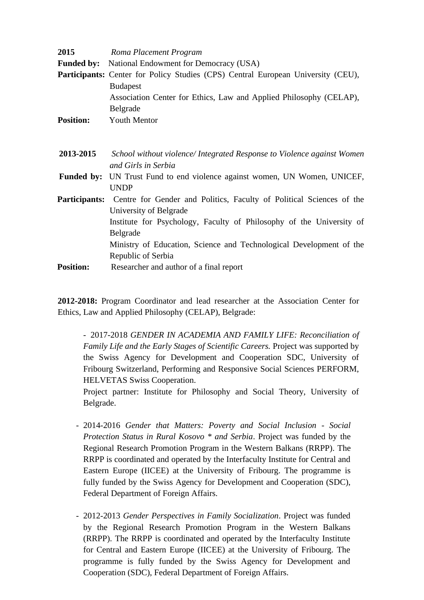| 2015             | Roma Placement Program                                                                    |
|------------------|-------------------------------------------------------------------------------------------|
|                  | <b>Funded by:</b> National Endowment for Democracy (USA)                                  |
|                  | <b>Participants:</b> Center for Policy Studies (CPS) Central European University (CEU),   |
|                  | <b>Budapest</b>                                                                           |
|                  | Association Center for Ethics, Law and Applied Philosophy (CELAP),                        |
|                  | Belgrade                                                                                  |
| <b>Position:</b> | <b>Youth Mentor</b>                                                                       |
|                  |                                                                                           |
|                  |                                                                                           |
| 2013-2015        | School without violence/Integrated Response to Violence against Women                     |
|                  | and Girls in Serbia                                                                       |
|                  | <b>Funded by:</b> UN Trust Fund to end violence against women, UN Women, UNICEF,          |
|                  | <b>UNDP</b>                                                                               |
|                  | <b>Participants:</b> Centre for Gender and Politics, Faculty of Political Sciences of the |
|                  | University of Belgrade                                                                    |
|                  | Institute for Psychology, Faculty of Philosophy of the University of                      |
|                  | Belgrade                                                                                  |
|                  | Ministry of Education, Science and Technological Development of the                       |
|                  | Republic of Serbia                                                                        |
| <b>Position:</b> | Researcher and author of a final report                                                   |

**2012-2018:** Program Coordinator and lead researcher at the Association Center for Ethics, Law and Applied Philosophy (CELAP), Belgrade:

- 2017-2018 *GENDER IN ACADEMIA AND FAMILY LIFE: Reconciliation of Family Life and the Early Stages of Scientific Careers.* Project was supported by the Swiss Agency for Development and Cooperation SDC, University of Fribourg Switzerland, Performing and Responsive Social Sciences PERFORM, HELVETAS Swiss Cooperation.

Project partner: Institute for Philosophy and Social Theory, University of Belgrade.

- 2014-2016 *Gender that Matters: Poverty and Social Inclusion - Social Protection Status in Rural Kosovo \* and Serbia*. Project was funded by the Regional Research Promotion Program in the Western Balkans (RRPP). The RRPP is coordinated and operated by the Interfaculty Institute for Central and Eastern Europe (IICEE) at the University of Fribourg. The programme is fully funded by the Swiss Agency for Development and Cooperation (SDC), Federal Department of Foreign Affairs.
- 2012-2013 *Gender Perspectives in Family Socialization*. Project was funded by the Regional Research Promotion Program in the Western Balkans (RRPP). The RRPP is coordinated and operated by the Interfaculty Institute for Central and Eastern Europe (IICEE) at the University of Fribourg. The programme is fully funded by the Swiss Agency for Development and Cooperation (SDC), Federal Department of Foreign Affairs.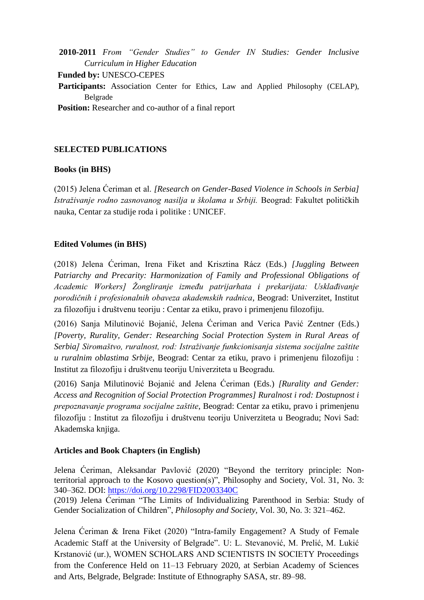**2010-2011** *From "Gender Studies" to Gender IN Studies: Gender Inclusive Curriculum in Higher Education*

**Funded by:** UNESCO-CEPES

 **Participants:** Association Center for Ethics, Law and Applied Philosophy (CELAP), Belgrade

**Position:** Researcher and co-author of a final report

## **SELECTED PUBLICATIONS**

### **Books (in BHS)**

(2015) Jelena Ćeriman et al. *[Research on Gender-Based Violence in Schools in Serbia] Istraživanje rodno zasnovanog nasilja u školama u Srbiji.* Beograd: Fakultet političkih nauka, Centar za studije roda i politike : UNICEF.

### **Edited Volumes (in BHS)**

(2018) Jelena Ćeriman, Irena Fiket and Krisztina Rácz (Eds.) *[Juggling Between Patriarchy and Precarity: Harmonization of Family and Professional Obligations of Academic Workers] Žongliranje između patrijarhata i prekarijata: Usklađivanje porodičnih i profesionalnih obaveza akademskih radnica*, Beograd: Univerzitet, Institut za filozofiju i društvenu teoriju : Centar za etiku, pravo i primenjenu filozofiju.

(2016) Sanja Milutinović Bojanić, Jelena Ćeriman and Verica Pavić Zentner (Eds.) *[Poverty, Rurality, Gender: Researching Social Protection System in Rural Areas of Serbia] Siromaštvo, ruralnost, rod: Istraživanje funkcionisanja sistema socijalne zaštite u ruralnim oblastima Srbije*, Beograd: Centar za etiku, pravo i primenjenu filozofiju : Institut za filozofiju i društvenu teoriju Univerziteta u Beogradu.

(2016) Sanja Milutinović Bojanić and Jelena Ćeriman (Eds.) *[Rurality and Gender: Access and Recognition of Social Protection Programmes] Ruralnost i rod: Dostupnost i prepoznavanje programa socijalne zaštite*, Beograd: Centar za etiku, pravo i primenjenu filozofiju : Institut za filozofiju i društvenu teoriju Univerziteta u Beogradu; Novi Sad: Akademska knjiga.

### **Articles and Book Chapters (in English)**

Jelena Ćeriman, Aleksandar Pavlović (2020) "Beyond the territory principle: Nonterritorial approach to the Kosovo question(s)", Philosophy and Society, Vol. 31, No. 3: 340–362. DOI: <https://doi.org/10.2298/FID2003340C>

(2019) Jelena Ćeriman "The Limits of Individualizing Parenthood in Serbia: Study of Gender Socialization of Children", *Philosophy and Society,* Vol. 30, No. 3: 321–462.

Jelena Ćeriman & Irena Fiket (2020) "Intra-family Engagement? A Study of Female Academic Staff at the University of Belgrade". U: L. Stevanović, M. Prelić, M. Lukić Krstanović (ur.), WOMEN SCHOLARS AND SCIENTISTS IN SOCIETY Proceedings from the Conference Held on 11–13 February 2020, at Serbian Academy of Sciences and Arts, Belgrade, Belgrade: Institute of Ethnography SASA, str. 89–98.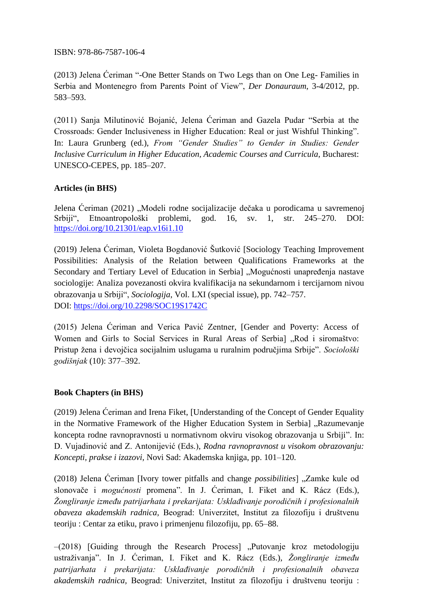ISBN: 978-86-7587-106-4

(2013) Jelena Ćeriman "-One Better Stands on Two Legs than on One Leg- Families in Serbia and Montenegro from Parents Point of View", *Der Donauraum*, 3-4/2012, pp. 583–593.

(2011) Sanja Milutinović Bojanić, Jelena Ćeriman and Gazela Pudar "Serbia at the Crossroads: Gender Inclusiveness in Higher Education: Real or just Wishful Thinking". In: Laura Grunberg (ed.), *From "Gender Studies" to Gender in Studies: Gender Inclusive Curriculum in Higher Education, Academic Courses and Curricula*, Bucharest: UNESCO-CEPES, pp. 185–207.

## **Articles (in BHS)**

Jelena Ćeriman (2021) "Modeli rodne socijalizacije dečaka u porodicama u savremenoj Srbiji", Etnoantropološki problemi, god. 16, sv. 1, str. 245–270. DOI: <https://doi.org/10.21301/eap.v16i1.10>

(2019) Jelena Ćeriman, Violeta Bogdanović Šutković [Sociology Teaching Improvement Possibilities: Analysis of the Relation between Qualifications Frameworks at the Secondary and Tertiary Level of Education in Serbia] "Mogućnosti unapređenja nastave sociologije: Analiza povezanosti okvira kvalifikacija na sekundarnom i tercijarnom nivou obrazovanja u Srbiji", *Sociologija*, Vol. LXI (special issue), pp. 742–757. DOI: <https://doi.org/10.2298/SOC19S1742C>

(2015) Jelena Ćeriman and Verica Pavić Zentner, [Gender and Poverty: Access of Women and Girls to Social Services in Rural Areas of Serbia] "Rod i siromaštvo: Pristup žena i devojčica socijalnim uslugama u ruralnim područjima Srbije". *Sociološki godišnjak* (10): 377–392.

### **Book Chapters (in BHS)**

(2019) Jelena Ćeriman and Irena Fiket, [Understanding of the Concept of Gender Equality in the Normative Framework of the Higher Education System in Serbia] "Razumevanje koncepta rodne ravnopravnosti u normativnom okviru visokog obrazovanja u Srbiji". In: D. Vujadinović and Z. Antonijević (Eds.), *Rodna ravnopravnost u visokom obrazovanju: Koncepti, prakse i izazovi,* Novi Sad: Akademska knjiga, pp. 101–120.

(2018) Jelena Ćeriman [Ivory tower pitfalls and change *possibilities*] "Zamke kule od slonovače i *mogućnosti* promena". In J. Ćeriman, I. Fiket and K. Rácz (Eds.), *Žongliranje između patrijarhata i prekarijata: Usklađivanje porodičnih i profesionalnih obaveza akademskih radnica,* Beograd: Univerzitet, Institut za filozofiju i društvenu teoriju : Centar za etiku, pravo i primenjenu filozofiju, pp. 65–88.

 $-(2018)$  [Guiding through the Research Process] "Putovanje kroz metodologiju ustraživanja". In J. Ćeriman, I. Fiket and K. Rácz (Eds.), *Žongliranje između patrijarhata i prekarijata: Usklađivanje porodičnih i profesionalnih obaveza akademskih radnica,* Beograd: Univerzitet, Institut za filozofiju i društvenu teoriju :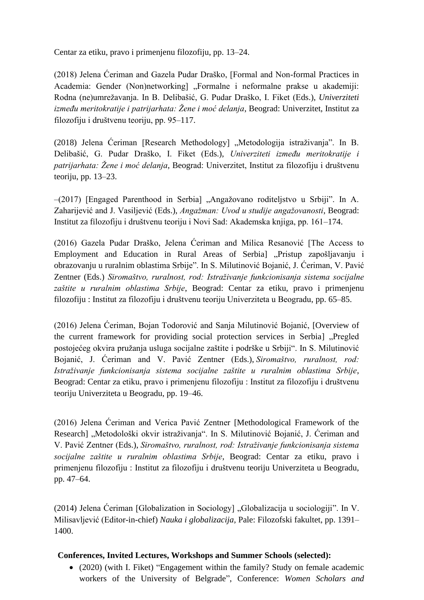Centar za etiku, pravo i primenjenu filozofiju, pp. 13–24.

(2018) Jelena Ćeriman and Gazela Pudar Draško, [Formal and Non-formal Practices in Academia: Gender (Non)networking] "Formalne i neformalne prakse u akademiji: Rodna (ne)umrežavanja. In B. Delibašić, G. Pudar Draško, I. Fiket (Eds.), *Univerziteti između meritokratije i patrijarhata: Žene i moć delanja*, Beograd: Univerzitet, Institut za filozofiju i društvenu teoriju, pp. 95–117.

(2018) Jelena Ćeriman [Research Methodology] "Metodologija istraživanja". In B. Delibašić, G. Pudar Draško, I. Fiket (Eds.), *Univerziteti između meritokratije i patrijarhata: Žene i moć delanja*, Beograd: Univerzitet, Institut za filozofiju i društvenu teoriju, pp. 13–23.

–(2017) [Engaged Parenthood in Serbia] "Angažovano roditeljstvo u Srbiji". In A. Zaharijević and J. Vasiljević (Eds.), *Angažman: Uvod u studije angažovanosti*, Beograd: Institut za filozofiju i društvenu teoriju i Novi Sad: Akademska knjiga, pp. 161–174.

(2016) Gazela Pudar Draško, Jelena Ćeriman and Milica Resanović [The Access to Employment and Education in Rural Areas of Serbia] "Pristup zapošljavanju i obrazovanju u ruralnim oblastima Srbije". In S. Milutinović Bojanić, J. Ćeriman, V. Pavić Zentner (Eds.) *Siromaštvo, ruralnost, rod: Istraživanje funkcionisanja sistema socijalne zaštite u ruralnim oblastima Srbije*, Beograd: Centar za etiku, pravo i primenjenu filozofiju : Institut za filozofiju i društvenu teoriju Univerziteta u Beogradu, pp. 65–85.

(2016) Jelena Ćeriman, Bojan Todorović and Sanja Milutinović Bojanić, [Overview of the current framework for providing social protection services in Serbia] "Pregled postojećeg okvira pružanja usluga socijalne zaštite i podrške u Srbiji". In S. Milutinović Bojanić, J. Ćeriman and V. Pavić Zentner (Eds.), *Siromaštvo, ruralnost, rod: Istraživanje funkcionisanja sistema socijalne zaštite u ruralnim oblastima Srbije*, Beograd: Centar za etiku, pravo i primenjenu filozofiju : Institut za filozofiju i društvenu teoriju Univerziteta u Beogradu, pp. 19–46.

(2016) Jelena Ćeriman and Verica Pavić Zentner [Methodological Framework of the Research] "Metodološki okvir istraživanja". In S. Milutinović Bojanić, J. Ćeriman and V. Pavić Zentner (Eds.), *Siromaštvo, ruralnost, rod: Istraživanje funkcionisanja sistema socijalne zaštite u ruralnim oblastima Srbije*, Beograd: Centar za etiku, pravo i primenjenu filozofiju : Institut za filozofiju i društvenu teoriju Univerziteta u Beogradu, pp. 47–64.

(2014) Jelena Čeriman [Globalization in Sociology] "Globalizacija u sociologiji". In V. Milisavljević (Editor-in-chief) *Nauka i globalizacija,* Pale: Filozofski fakultet, pp. 1391– 1400.

## **Conferences, Invited Lectures, Workshops and Summer Schools (selected):**

• (2020) (with I. Fiket) "Engagement within the family? Study on female academic workers of the University of Belgrade", Conference: *Women Scholars and*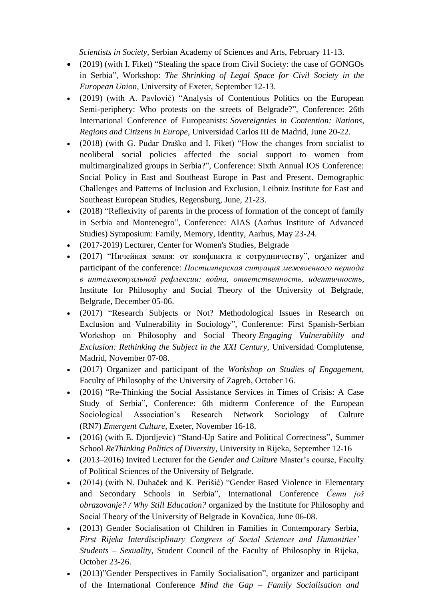*Scientists in Society,* Serbian Academy of Sciences and Arts, February 11-13.

- (2019) (with I. Fiket) "Stealing the space from Civil Society: the case of GONGOs in Serbia", Workshop: *The Shrinking of Legal Space for Civil Society in the European Union*, University of Exeter, September 12-13.
- (2019) (with A. Pavlović) "Analysis of Contentious Politics on the European Semi-periphery: Who protests on the streets of Belgrade?", Conference: 26th International Conference of Europeanists: *Sovereignties in Contention: Nations, Regions and Citizens in Europe*, Universidad Carlos III de Madrid, June 20-22.
- (2018) (with G. Pudar Draško and I. Fiket) "How the changes from socialist to neoliberal social policies affected the social support to women from multimarginalized groups in Serbia?", Conference: Sixth Annual IOS Conference: Social Policy in East and Southeast Europe in Past and Present. Demographic Challenges and Patterns of Inclusion and Exclusion, Leibniz Institute for East and Southeast European Studies, Regensburg, June, 21-23.
- (2018) "Reflexivity of parents in the process of formation of the concept of family in Serbia and Montenegro", Conference: AIAS (Aarhus Institute of Advanced Studies) Symposium: Family, Memory, Identity, Aarhus, May 23-24.
- (2017-2019) Lecturer, Center for Women's Studies, Belgrade
- (2017) "Ничейная земля: от конфликта к сотрудничеству", organizer and participant of the conference: *Постимперская ситуация межвоенного периода в интеллектуальной рефлексии: война, ответственность, идентичность,*  Institute for Philosophy and Social Theory of the University of Belgrade, Belgrade, December 05-06.
- (2017) "Research Subjects or Not? Methodological Issues in Research on Exclusion and Vulnerability in Sociology", Conference: First Spanish-Serbian Workshop on Philosophy and Social Theory *Engaging Vulnerability and Exclusion: Rethinking the Subject in the XXI Century*, Universidad Complutense, Madrid, November 07-08.
- (2017) Organizer and participant of the *Workshop on Studies of Engagement,*  Faculty of Philosophy of the University of Zagreb, October 16.
- (2016) "Re-Thinking the Social Assistance Services in Times of Crisis: A Case Study of Serbia", Conference: 6th midterm Conference of the European Sociological Association's Research Network Sociology of Culture (RN7) *Emergent Culture*, Exeter, November 16-18.
- (2016) (with E. Djordjevic) "Stand-Up Satire and Political Correctness", Summer School *ReThinking Politics of Diversity*, University in Rijeka, September 12-16
- (2013–2016) Invited Lecturer for the *Gender and Culture* Master's course, Faculty of Political Sciences of the University of Belgrade.
- (2014) (with N. Duhaček and K. Perišić) "Gender Based Violence in Elementary and Secondary Schools in Serbia", International Conference *Čemu još obrazovanje? / Why Still Education?* organized by the Institute for Philosophy and Social Theory of the University of Belgrade in Kovačica, June 06-08.
- (2013) Gender Socialisation of Children in Families in Contemporary Serbia, *First Rijeka Interdisciplinary Congress of Social Sciences and Humanities' Students – Sexuality*, Student Council of the Faculty of Philosophy in Rijeka, October 23-26.
- (2013)"Gender Perspectives in Family Socialisation", organizer and participant of the International Conference *Mind the Gap – Family Socialisation and*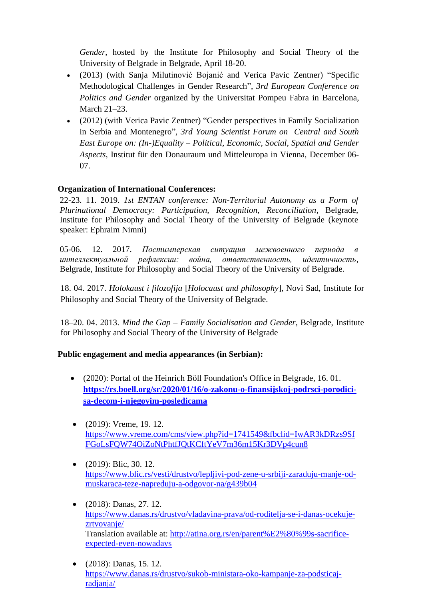*Gender*, hosted by the Institute for Philosophy and Social Theory of the University of Belgrade in Belgrade, April 18-20.

- (2013) (with Sanja Milutinović Bojanić and Verica Pavic Zentner) "Specific Methodological Challenges in Gender Research", *3rd European Conference on Politics and Gender* organized by the Universitat Pompeu Fabra in Barcelona, March 21–23.
- (2012) (with Verica Pavic Zentner) "Gender perspectives in Family Socialization in Serbia and Montenegro", *3rd Young Scientist Forum on Central and South East Europe on: (In-)Equality – Political, Economic, Social, Spatial and Gender Aspects*, Institut für den Donauraum und Mitteleuropa in Vienna, December 06- 07.

## **Organization of International Conferences:**

22-23. 11. 2019. *1st ENTAN conference: Non-Territorial Autonomy as a Form of Plurinational Democracy: Participation, Recognition, Reconciliation,* Belgrade, Institute for Philosophy and Social Theory of the University of Belgrade (keynote speaker: Ephraim Nimni)

05-06. 12. 2017. *Постимперская ситуация межвоенного периода в интеллектуальной рефлексии: война, ответственность, идентичность,* Belgrade, Institute for Philosophy and Social Theory of the University of Belgrade.

18. 04. 2017. *Holokaust i filozofija* [*Holocaust and philosophy*], Novi Sad, Institute for Philosophy and Social Theory of the University of Belgrade.

18–20. 04. 2013. *Mind the Gap – Family Socialisation and Gender*, Belgrade, Institute for Philosophy and Social Theory of the University of Belgrade

### **Public engagement and media appearances (in Serbian):**

- (2020): Portal of the Heinrich Böll Foundation's Office in Belgrade, 16.01. **[https://rs.boell.org/sr/2020/01/16/o-zakonu-o-finansijskoj-podrsci-porodici](https://rs.boell.org/sr/2020/01/16/o-zakonu-o-finansijskoj-podrsci-porodici-sa-decom-i-njegovim-posledicama)[sa-decom-i-njegovim-posledicama](https://rs.boell.org/sr/2020/01/16/o-zakonu-o-finansijskoj-podrsci-porodici-sa-decom-i-njegovim-posledicama)**
- (2019): Vreme, 19. 12. [https://www.vreme.com/cms/view.php?id=1741549&fbclid=IwAR3kDRzs9Sf](https://www.vreme.com/cms/view.php?id=1741549&fbclid=IwAR3kDRzs9SfFGoLsFQW74OiZoNtPhtfJQtKCftYeV7m36m15Kr3DVp4cun8) [FGoLsFQW74OiZoNtPhtfJQtKCftYeV7m36m15Kr3DVp4cun8](https://www.vreme.com/cms/view.php?id=1741549&fbclid=IwAR3kDRzs9SfFGoLsFQW74OiZoNtPhtfJQtKCftYeV7m36m15Kr3DVp4cun8)
- $(2019)$ : Blic, 30. 12. [https://www.blic.rs/vesti/drustvo/lepljivi-pod-zene-u-srbiji-zaraduju-manje-od](https://www.blic.rs/vesti/drustvo/lepljivi-pod-zene-u-srbiji-zaraduju-manje-od-muskaraca-teze-napreduju-a-odgovor-na/g439b04)[muskaraca-teze-napreduju-a-odgovor-na/g439b04](https://www.blic.rs/vesti/drustvo/lepljivi-pod-zene-u-srbiji-zaraduju-manje-od-muskaraca-teze-napreduju-a-odgovor-na/g439b04)
- $(2018)$ : Danas, 27. 12. [https://www.danas.rs/drustvo/vladavina-prava/od-roditelja-se-i-danas-ocekuje](https://www.danas.rs/drustvo/vladavina-prava/od-roditelja-se-i-danas-ocekuje-zrtvovanje/)[zrtvovanje/](https://www.danas.rs/drustvo/vladavina-prava/od-roditelja-se-i-danas-ocekuje-zrtvovanje/) Translation available at: [http://atina.org.rs/en/parent%E2%80%99s-sacrifice](http://atina.org.rs/en/parent%E2%80%99s-sacrifice-expected-even-nowadays)[expected-even-nowadays](http://atina.org.rs/en/parent%E2%80%99s-sacrifice-expected-even-nowadays)
- (2018): Danas, 15. 12. [https://www.danas.rs/drustvo/sukob-ministara-oko-kampanje-za-podsticaj](https://www.danas.rs/drustvo/sukob-ministara-oko-kampanje-za-podsticaj-radjanja/)[radjanja/](https://www.danas.rs/drustvo/sukob-ministara-oko-kampanje-za-podsticaj-radjanja/)